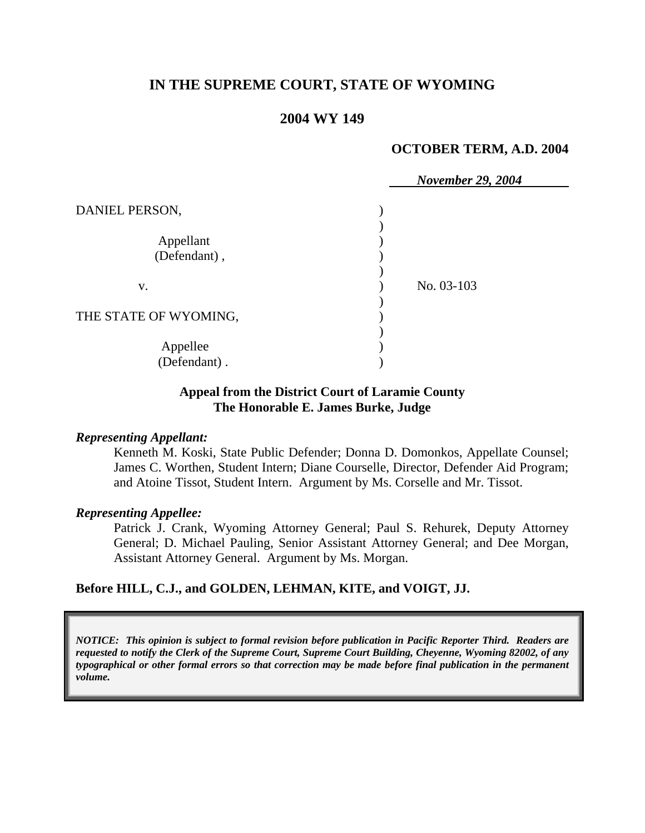# **IN THE SUPREME COURT, STATE OF WYOMING**

## **2004 WY 149**

### **OCTOBER TERM, A.D. 2004**

|                           |  | <b>November 29, 2004</b> |
|---------------------------|--|--------------------------|
| DANIEL PERSON,            |  |                          |
| Appellant<br>(Defendant), |  |                          |
| V.                        |  | No. 03-103               |
| THE STATE OF WYOMING,     |  |                          |
| Appellee<br>(Defendant).  |  |                          |

## **Appeal from the District Court of Laramie County The Honorable E. James Burke, Judge**

#### *Representing Appellant:*

Kenneth M. Koski, State Public Defender; Donna D. Domonkos, Appellate Counsel; James C. Worthen, Student Intern; Diane Courselle, Director, Defender Aid Program; and Atoine Tissot, Student Intern. Argument by Ms. Corselle and Mr. Tissot.

#### *Representing Appellee:*

Patrick J. Crank, Wyoming Attorney General; Paul S. Rehurek, Deputy Attorney General; D. Michael Pauling, Senior Assistant Attorney General; and Dee Morgan, Assistant Attorney General. Argument by Ms. Morgan.

## **Before HILL, C.J., and GOLDEN, LEHMAN, KITE, and VOIGT, JJ.**

*NOTICE: This opinion is subject to formal revision before publication in Pacific Reporter Third. Readers are requested to notify the Clerk of the Supreme Court, Supreme Court Building, Cheyenne, Wyoming 82002, of any typographical or other formal errors so that correction may be made before final publication in the permanent volume.*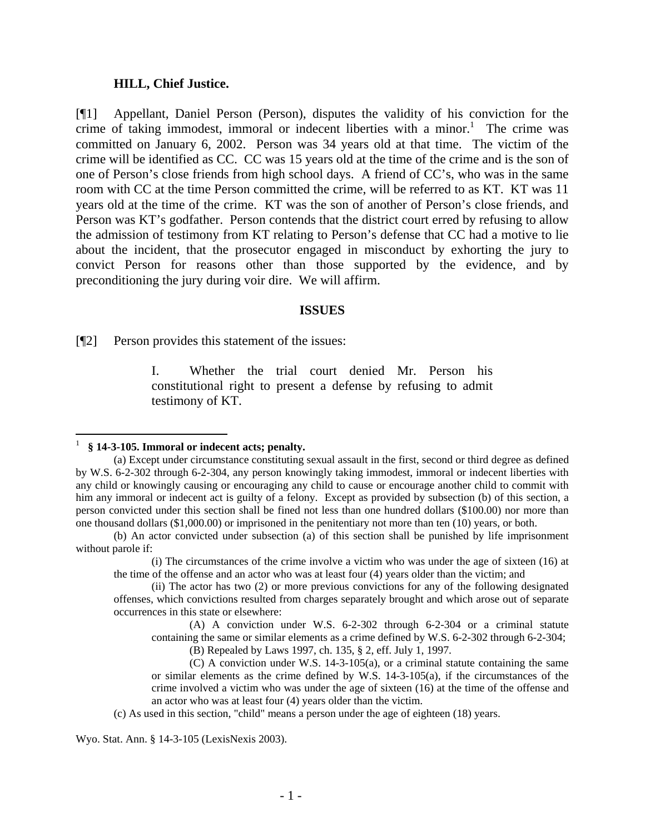### **HILL, Chief Justice.**

[¶1] Appellant, Daniel Person (Person), disputes the validity of his conviction for the crime of taking immodest, immoral or indecent liberties with a minor.<sup>1</sup> The crime was committed on January 6, 2002. Person was 34 years old at that time. The victim of the crime will be identified as CC. CC was 15 years old at the time of the crime and is the son of one of Person's close friends from high school days. A friend of CC's, who was in the same room with CC at the time Person committed the crime, will be referred to as KT. KT was 11 years old at the time of the crime. KT was the son of another of Person's close friends, and Person was KT's godfather. Person contends that the district court erred by refusing to allow the admission of testimony from KT relating to Person's defense that CC had a motive to lie about the incident, that the prosecutor engaged in misconduct by exhorting the jury to convict Person for reasons other than those supported by the evidence, and by preconditioning the jury during voir dire. We will affirm.

#### **ISSUES**

[¶2] Person provides this statement of the issues:

I. Whether the trial court denied Mr. Person his constitutional right to present a defense by refusing to admit testimony of KT.

(c) As used in this section, "child" means a person under the age of eighteen (18) years.

Wyo. Stat. Ann. § 14-3-105 (LexisNexis 2003).

<sup>1</sup> **§ 14-3-105. Immoral or indecent acts; penalty.**

<sup>(</sup>a) Except under circumstance constituting sexual assault in the first, second or third degree as defined by W.S. 6-2-302 through 6-2-304, any person knowingly taking immodest, immoral or indecent liberties with any child or knowingly causing or encouraging any child to cause or encourage another child to commit with him any immoral or indecent act is guilty of a felony. Except as provided by subsection (b) of this section, a person convicted under this section shall be fined not less than one hundred dollars (\$100.00) nor more than one thousand dollars (\$1,000.00) or imprisoned in the penitentiary not more than ten (10) years, or both.

<sup>(</sup>b) An actor convicted under subsection (a) of this section shall be punished by life imprisonment without parole if:

<sup>(</sup>i) The circumstances of the crime involve a victim who was under the age of sixteen (16) at the time of the offense and an actor who was at least four (4) years older than the victim; and

<sup>(</sup>ii) The actor has two (2) or more previous convictions for any of the following designated offenses, which convictions resulted from charges separately brought and which arose out of separate occurrences in this state or elsewhere:

<sup>(</sup>A) A conviction under W.S. 6-2-302 through 6-2-304 or a criminal statute containing the same or similar elements as a crime defined by W.S. 6-2-302 through 6-2-304; (B) Repealed by Laws 1997, ch. 135, § 2, eff. July 1, 1997.

<sup>(</sup>C) A conviction under W.S. 14-3-105(a), or a criminal statute containing the same or similar elements as the crime defined by W.S. 14-3-105(a), if the circumstances of the crime involved a victim who was under the age of sixteen (16) at the time of the offense and an actor who was at least four (4) years older than the victim.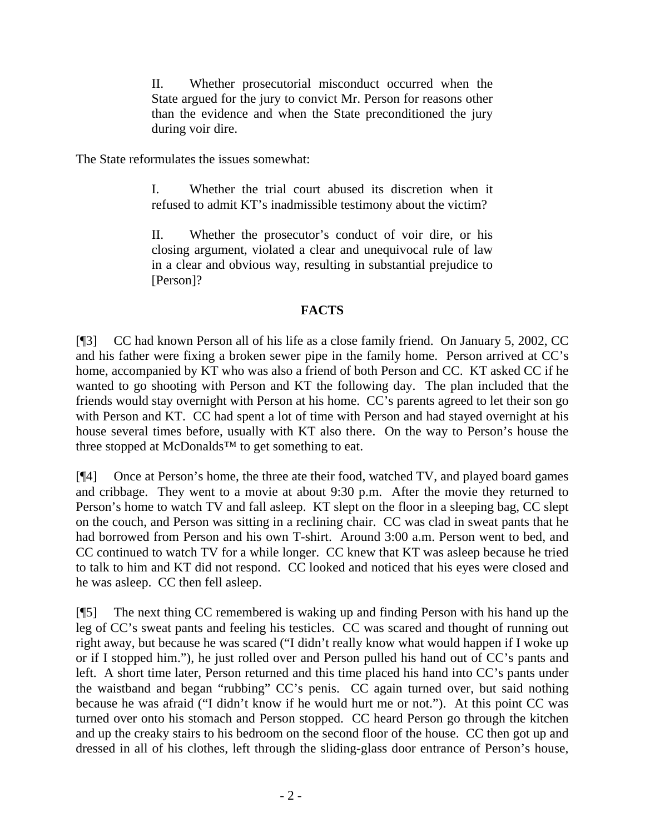II. Whether prosecutorial misconduct occurred when the State argued for the jury to convict Mr. Person for reasons other than the evidence and when the State preconditioned the jury during voir dire.

The State reformulates the issues somewhat:

I. Whether the trial court abused its discretion when it refused to admit KT's inadmissible testimony about the victim?

II. Whether the prosecutor's conduct of voir dire, or his closing argument, violated a clear and unequivocal rule of law in a clear and obvious way, resulting in substantial prejudice to [Person]?

# **FACTS**

[¶3] CC had known Person all of his life as a close family friend. On January 5, 2002, CC and his father were fixing a broken sewer pipe in the family home. Person arrived at CC's home, accompanied by KT who was also a friend of both Person and CC. KT asked CC if he wanted to go shooting with Person and KT the following day. The plan included that the friends would stay overnight with Person at his home. CC's parents agreed to let their son go with Person and KT. CC had spent a lot of time with Person and had stayed overnight at his house several times before, usually with KT also there. On the way to Person's house the three stopped at McDonalds™ to get something to eat.

[¶4] Once at Person's home, the three ate their food, watched TV, and played board games and cribbage. They went to a movie at about 9:30 p.m. After the movie they returned to Person's home to watch TV and fall asleep. KT slept on the floor in a sleeping bag, CC slept on the couch, and Person was sitting in a reclining chair. CC was clad in sweat pants that he had borrowed from Person and his own T-shirt. Around 3:00 a.m. Person went to bed, and CC continued to watch TV for a while longer. CC knew that KT was asleep because he tried to talk to him and KT did not respond. CC looked and noticed that his eyes were closed and he was asleep. CC then fell asleep.

[¶5] The next thing CC remembered is waking up and finding Person with his hand up the leg of CC's sweat pants and feeling his testicles. CC was scared and thought of running out right away, but because he was scared ("I didn't really know what would happen if I woke up or if I stopped him."), he just rolled over and Person pulled his hand out of CC's pants and left. A short time later, Person returned and this time placed his hand into CC's pants under the waistband and began "rubbing" CC's penis. CC again turned over, but said nothing because he was afraid ("I didn't know if he would hurt me or not."). At this point CC was turned over onto his stomach and Person stopped. CC heard Person go through the kitchen and up the creaky stairs to his bedroom on the second floor of the house. CC then got up and dressed in all of his clothes, left through the sliding-glass door entrance of Person's house,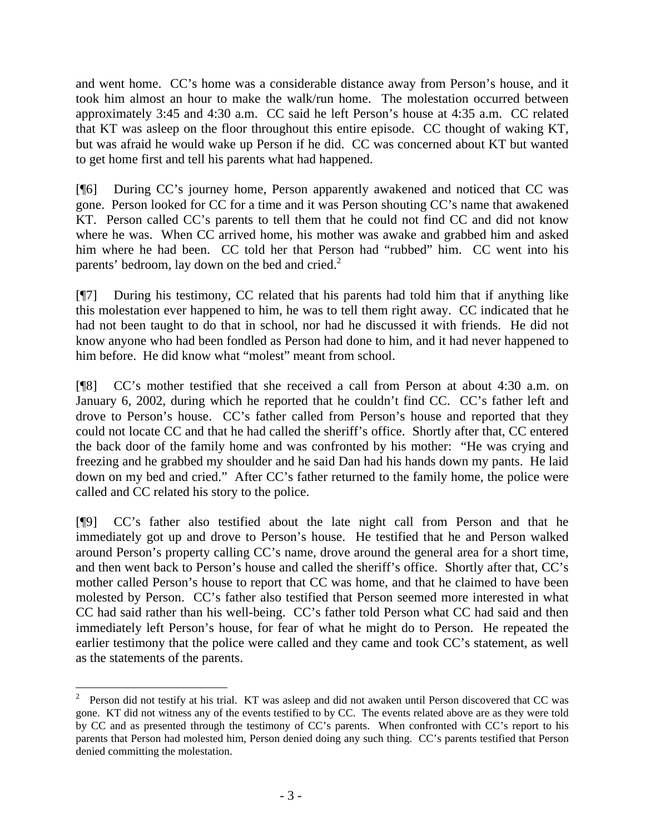and went home. CC's home was a considerable distance away from Person's house, and it took him almost an hour to make the walk/run home. The molestation occurred between approximately 3:45 and 4:30 a.m. CC said he left Person's house at 4:35 a.m. CC related that KT was asleep on the floor throughout this entire episode. CC thought of waking KT, but was afraid he would wake up Person if he did. CC was concerned about KT but wanted to get home first and tell his parents what had happened.

[¶6] During CC's journey home, Person apparently awakened and noticed that CC was gone. Person looked for CC for a time and it was Person shouting CC's name that awakened KT. Person called CC's parents to tell them that he could not find CC and did not know where he was. When CC arrived home, his mother was awake and grabbed him and asked him where he had been. CC told her that Person had "rubbed" him. CC went into his parents' bedroom, lay down on the bed and cried. $2^2$ 

[¶7] During his testimony, CC related that his parents had told him that if anything like this molestation ever happened to him, he was to tell them right away. CC indicated that he had not been taught to do that in school, nor had he discussed it with friends. He did not know anyone who had been fondled as Person had done to him, and it had never happened to him before. He did know what "molest" meant from school.

[¶8] CC's mother testified that she received a call from Person at about 4:30 a.m. on January 6, 2002, during which he reported that he couldn't find CC. CC's father left and drove to Person's house. CC's father called from Person's house and reported that they could not locate CC and that he had called the sheriff's office. Shortly after that, CC entered the back door of the family home and was confronted by his mother: "He was crying and freezing and he grabbed my shoulder and he said Dan had his hands down my pants. He laid down on my bed and cried." After CC's father returned to the family home, the police were called and CC related his story to the police.

[¶9] CC's father also testified about the late night call from Person and that he immediately got up and drove to Person's house. He testified that he and Person walked around Person's property calling CC's name, drove around the general area for a short time, and then went back to Person's house and called the sheriff's office. Shortly after that, CC's mother called Person's house to report that CC was home, and that he claimed to have been molested by Person. CC's father also testified that Person seemed more interested in what CC had said rather than his well-being. CC's father told Person what CC had said and then immediately left Person's house, for fear of what he might do to Person. He repeated the earlier testimony that the police were called and they came and took CC's statement, as well as the statements of the parents.

 $\overline{a}$ 

<sup>&</sup>lt;sup>2</sup> Person did not testify at his trial. KT was asleep and did not awaken until Person discovered that CC was gone. KT did not witness any of the events testified to by CC. The events related above are as they were told by CC and as presented through the testimony of CC's parents. When confronted with CC's report to his parents that Person had molested him, Person denied doing any such thing. CC's parents testified that Person denied committing the molestation.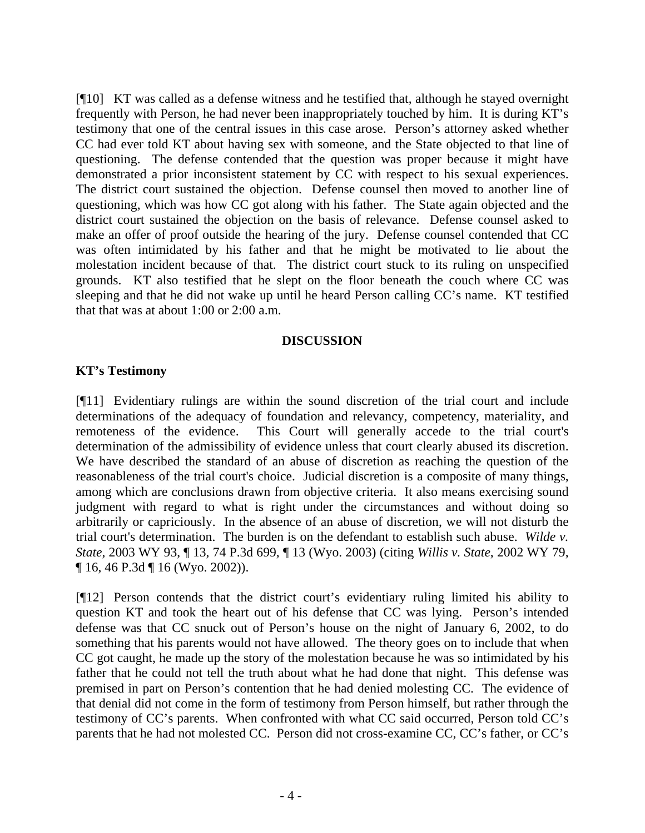[¶10] KT was called as a defense witness and he testified that, although he stayed overnight frequently with Person, he had never been inappropriately touched by him. It is during KT's testimony that one of the central issues in this case arose. Person's attorney asked whether CC had ever told KT about having sex with someone, and the State objected to that line of questioning. The defense contended that the question was proper because it might have demonstrated a prior inconsistent statement by CC with respect to his sexual experiences. The district court sustained the objection. Defense counsel then moved to another line of questioning, which was how CC got along with his father. The State again objected and the district court sustained the objection on the basis of relevance. Defense counsel asked to make an offer of proof outside the hearing of the jury. Defense counsel contended that CC was often intimidated by his father and that he might be motivated to lie about the molestation incident because of that. The district court stuck to its ruling on unspecified grounds. KT also testified that he slept on the floor beneath the couch where CC was sleeping and that he did not wake up until he heard Person calling CC's name. KT testified that that was at about 1:00 or 2:00 a.m.

## **DISCUSSION**

# **KT's Testimony**

[¶11] Evidentiary rulings are within the sound discretion of the trial court and include determinations of the adequacy of foundation and relevancy, competency, materiality, and remoteness of the evidence. This Court will generally accede to the trial court's determination of the admissibility of evidence unless that court clearly abused its discretion. We have described the standard of an abuse of discretion as reaching the question of the reasonableness of the trial court's choice. Judicial discretion is a composite of many things, among which are conclusions drawn from objective criteria. It also means exercising sound judgment with regard to what is right under the circumstances and without doing so arbitrarily or capriciously. In the absence of an abuse of discretion, we will not disturb the trial court's determination. The burden is on the defendant to establish such abuse. *Wilde v. State*, 2003 WY 93, ¶ 13, 74 P.3d 699, ¶ 13 (Wyo. 2003) (citing *Willis v. State*, 2002 WY 79, ¶ 16, 46 P.3d ¶ 16 (Wyo. 2002)).

[¶12] Person contends that the district court's evidentiary ruling limited his ability to question KT and took the heart out of his defense that CC was lying. Person's intended defense was that CC snuck out of Person's house on the night of January 6, 2002, to do something that his parents would not have allowed. The theory goes on to include that when CC got caught, he made up the story of the molestation because he was so intimidated by his father that he could not tell the truth about what he had done that night. This defense was premised in part on Person's contention that he had denied molesting CC. The evidence of that denial did not come in the form of testimony from Person himself, but rather through the testimony of CC's parents. When confronted with what CC said occurred, Person told CC's parents that he had not molested CC. Person did not cross-examine CC, CC's father, or CC's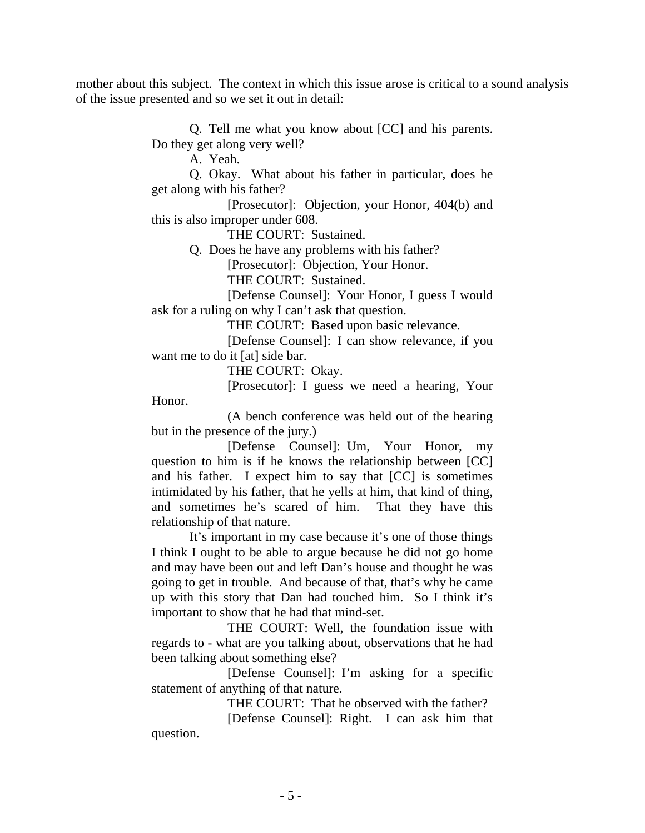mother about this subject. The context in which this issue arose is critical to a sound analysis of the issue presented and so we set it out in detail:

> Q. Tell me what you know about [CC] and his parents. Do they get along very well?

> > A. Yeah.

Q. Okay. What about his father in particular, does he get along with his father?

[Prosecutor]: Objection, your Honor, 404(b) and this is also improper under 608.

THE COURT: Sustained.

Q. Does he have any problems with his father?

[Prosecutor]: Objection, Your Honor.

THE COURT: Sustained.

 [Defense Counsel]: Your Honor, I guess I would ask for a ruling on why I can't ask that question.

THE COURT: Based upon basic relevance.

[Defense Counsel]: I can show relevance, if you want me to do it [at] side bar.

THE COURT: Okay.

 [Prosecutor]: I guess we need a hearing, Your Honor.

 (A bench conference was held out of the hearing but in the presence of the jury.)

[Defense Counsel]: Um, Your Honor, my question to him is if he knows the relationship between [CC] and his father. I expect him to say that [CC] is sometimes intimidated by his father, that he yells at him, that kind of thing, and sometimes he's scared of him. That they have this relationship of that nature.

It's important in my case because it's one of those things I think I ought to be able to argue because he did not go home and may have been out and left Dan's house and thought he was going to get in trouble. And because of that, that's why he came up with this story that Dan had touched him. So I think it's important to show that he had that mind-set.

THE COURT: Well, the foundation issue with regards to - what are you talking about, observations that he had been talking about something else?

[Defense Counsel]: I'm asking for a specific statement of anything of that nature.

THE COURT: That he observed with the father?

[Defense Counsel]: Right. I can ask him that question.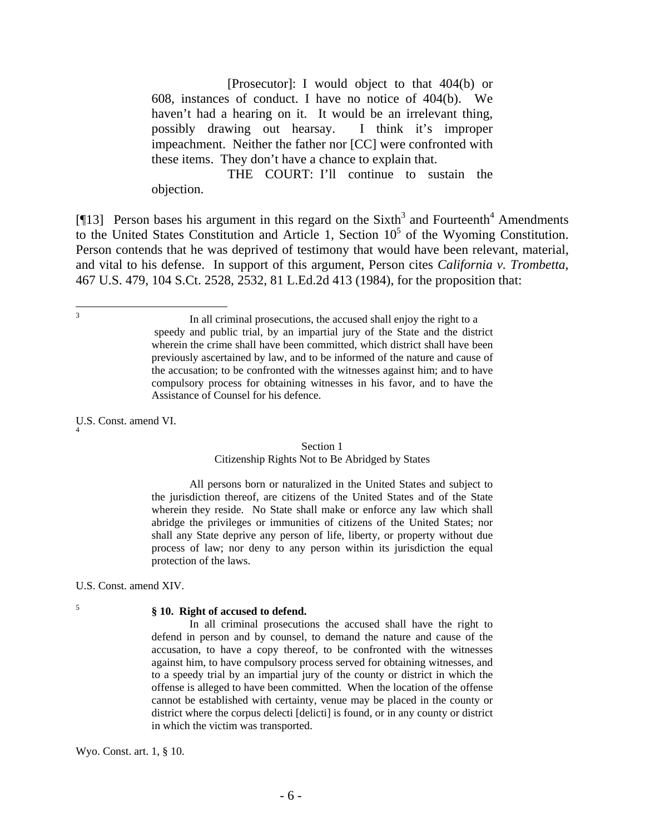[Prosecutor]: I would object to that 404(b) or 608, instances of conduct. I have no notice of 404(b). We haven't had a hearing on it. It would be an irrelevant thing, possibly drawing out hearsay. I think it's improper impeachment. Neither the father nor [CC] were confronted with these items. They don't have a chance to explain that.

THE COURT: I'll continue to sustain the objection.

[ $[13]$  Person bases his argument in this regard on the Sixth<sup>3</sup> and Fourteenth<sup>4</sup> Amendments to the United States Constitution and Article 1, Section  $10<sup>5</sup>$  of the Wyoming Constitution. Person contends that he was deprived of testimony that would have been relevant, material, and vital to his defense. In support of this argument, Person cites *California v. Trombetta*, 467 U.S. 479, 104 S.Ct. 2528, 2532, 81 L.Ed.2d 413 (1984), for the proposition that:

U.S. Const. amend VI.

#### Section 1

#### Citizenship Rights Not to Be Abridged by States

All persons born or naturalized in the United States and subject to the jurisdiction thereof, are citizens of the United States and of the State wherein they reside. No State shall make or enforce any law which shall abridge the privileges or immunities of citizens of the United States; nor shall any State deprive any person of life, liberty, or property without due process of law; nor deny to any person within its jurisdiction the equal protection of the laws.

U.S. Const. amend XIV.

5

<sup>2</sup><br>3

#### **§ 10. Right of accused to defend.**

In all criminal prosecutions the accused shall have the right to defend in person and by counsel, to demand the nature and cause of the accusation, to have a copy thereof, to be confronted with the witnesses against him, to have compulsory process served for obtaining witnesses, and to a speedy trial by an impartial jury of the county or district in which the offense is alleged to have been committed. When the location of the offense cannot be established with certainty, venue may be placed in the county or district where the corpus delecti [delicti] is found, or in any county or district in which the victim was transported.

Wyo. Const. art. 1, § 10.

In all criminal prosecutions, the accused shall enjoy the right to a speedy and public trial, by an impartial jury of the State and the district wherein the crime shall have been committed, which district shall have been previously ascertained by law, and to be informed of the nature and cause of the accusation; to be confronted with the witnesses against him; and to have compulsory process for obtaining witnesses in his favor, and to have the Assistance of Counsel for his defence.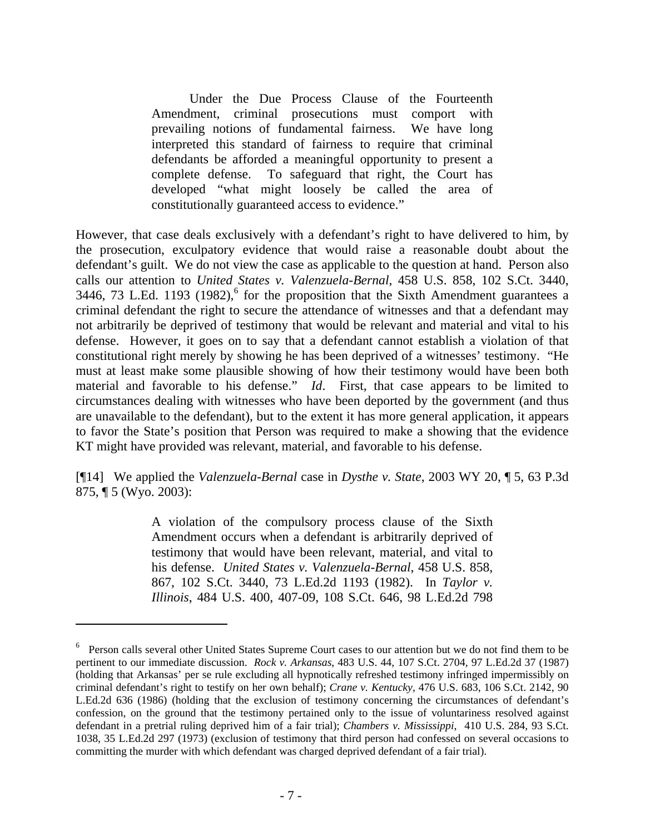Under the Due Process Clause of the Fourteenth Amendment, criminal prosecutions must comport with prevailing notions of fundamental fairness. We have long interpreted this standard of fairness to require that criminal defendants be afforded a meaningful opportunity to present a complete defense. To safeguard that right, the Court has developed "what might loosely be called the area of constitutionally guaranteed access to evidence."

However, that case deals exclusively with a defendant's right to have delivered to him, by the prosecution, exculpatory evidence that would raise a reasonable doubt about the defendant's guilt. We do not view the case as applicable to the question at hand. Person also calls our attention to *United States v. Valenzuela-Bernal*, 458 U.S. 858, 102 S.Ct. 3440, 3446, 73 L.Ed. 1193 (1982),<sup>6</sup> for the proposition that the Sixth Amendment guarantees a criminal defendant the right to secure the attendance of witnesses and that a defendant may not arbitrarily be deprived of testimony that would be relevant and material and vital to his defense. However, it goes on to say that a defendant cannot establish a violation of that constitutional right merely by showing he has been deprived of a witnesses' testimony. "He must at least make some plausible showing of how their testimony would have been both material and favorable to his defense." *Id*. First, that case appears to be limited to circumstances dealing with witnesses who have been deported by the government (and thus are unavailable to the defendant), but to the extent it has more general application, it appears to favor the State's position that Person was required to make a showing that the evidence KT might have provided was relevant, material, and favorable to his defense.

[¶14] We applied the *Valenzuela-Bernal* case in *Dysthe v. State*, 2003 WY 20, ¶ 5, 63 P.3d 875, ¶ 5 (Wyo. 2003):

> A violation of the compulsory process clause of the Sixth Amendment occurs when a defendant is arbitrarily deprived of testimony that would have been relevant, material, and vital to his defense. *United States v. Valenzuela-Bernal*, 458 U.S. 858, 867, 102 S.Ct. 3440, 73 L.Ed.2d 1193 (1982). In *Taylor v. Illinois*, 484 U.S. 400, 407-09, 108 S.Ct. 646, 98 L.Ed.2d 798

 $\overline{a}$ 

<sup>&</sup>lt;sup>6</sup> Person calls several other United States Supreme Court cases to our attention but we do not find them to be pertinent to our immediate discussion. *Rock v. Arkansas*, 483 U.S. 44, 107 S.Ct. 2704, 97 L.Ed.2d 37 (1987) (holding that Arkansas' per se rule excluding all hypnotically refreshed testimony infringed impermissibly on criminal defendant's right to testify on her own behalf); *Crane v. Kentucky*, 476 U.S. 683, 106 S.Ct. 2142, 90 L.Ed.2d 636 (1986) (holding that the exclusion of testimony concerning the circumstances of defendant's confession, on the ground that the testimony pertained only to the issue of voluntariness resolved against defendant in a pretrial ruling deprived him of a fair trial); *Chambers v. Mississippi*, 410 U.S. 284, 93 S.Ct. 1038, 35 L.Ed.2d 297 (1973) (exclusion of testimony that third person had confessed on several occasions to committing the murder with which defendant was charged deprived defendant of a fair trial).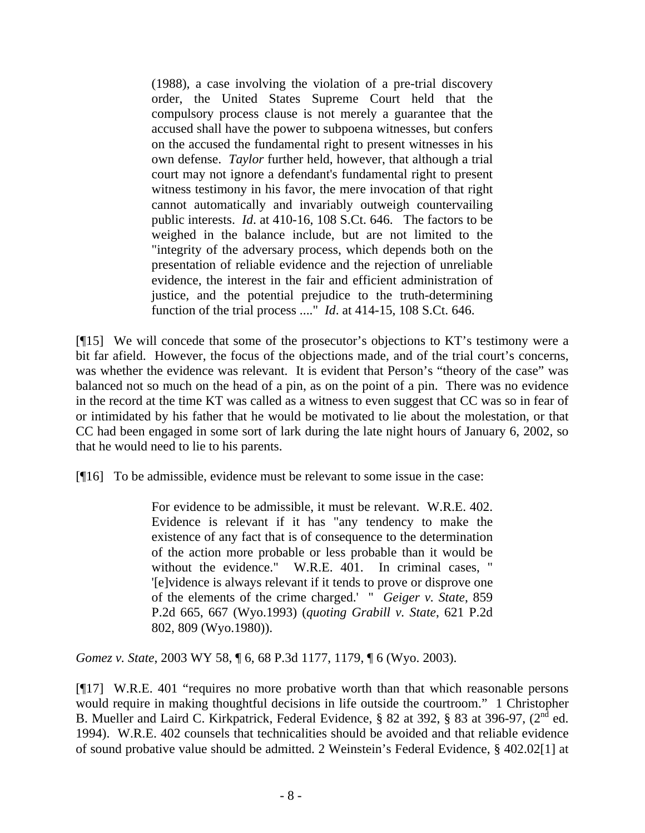(1988), a case involving the violation of a pre-trial discovery order, the United States Supreme Court held that the compulsory process clause is not merely a guarantee that the accused shall have the power to subpoena witnesses, but confers on the accused the fundamental right to present witnesses in his own defense. *Taylor* further held, however, that although a trial court may not ignore a defendant's fundamental right to present witness testimony in his favor, the mere invocation of that right cannot automatically and invariably outweigh countervailing public interests. *Id*. at 410-16, 108 S.Ct. 646. The factors to be weighed in the balance include, but are not limited to the "integrity of the adversary process, which depends both on the presentation of reliable evidence and the rejection of unreliable evidence, the interest in the fair and efficient administration of justice, and the potential prejudice to the truth-determining function of the trial process ...." *Id*. at 414-15, 108 S.Ct. 646.

[¶15] We will concede that some of the prosecutor's objections to KT's testimony were a bit far afield. However, the focus of the objections made, and of the trial court's concerns, was whether the evidence was relevant. It is evident that Person's "theory of the case" was balanced not so much on the head of a pin, as on the point of a pin. There was no evidence in the record at the time KT was called as a witness to even suggest that CC was so in fear of or intimidated by his father that he would be motivated to lie about the molestation, or that CC had been engaged in some sort of lark during the late night hours of January 6, 2002, so that he would need to lie to his parents.

[¶16] To be admissible, evidence must be relevant to some issue in the case:

For evidence to be admissible, it must be relevant. W.R.E. 402. Evidence is relevant if it has "any tendency to make the existence of any fact that is of consequence to the determination of the action more probable or less probable than it would be without the evidence." W.R.E. 401. In criminal cases, " '[e]vidence is always relevant if it tends to prove or disprove one of the elements of the crime charged.' " *Geiger v. State*, 859 P.2d 665, 667 (Wyo.1993) (*quoting Grabill v. State*, 621 P.2d 802, 809 (Wyo.1980)).

*Gomez v. State*, 2003 WY 58, ¶ 6, 68 P.3d 1177, 1179, ¶ 6 (Wyo. 2003).

[¶17] W.R.E. 401 "requires no more probative worth than that which reasonable persons would require in making thoughtful decisions in life outside the courtroom." 1 Christopher B. Mueller and Laird C. Kirkpatrick, Federal Evidence, § 82 at 392, § 83 at 396-97, (2<sup>nd</sup> ed. 1994). W.R.E. 402 counsels that technicalities should be avoided and that reliable evidence of sound probative value should be admitted. 2 Weinstein's Federal Evidence, § 402.02[1] at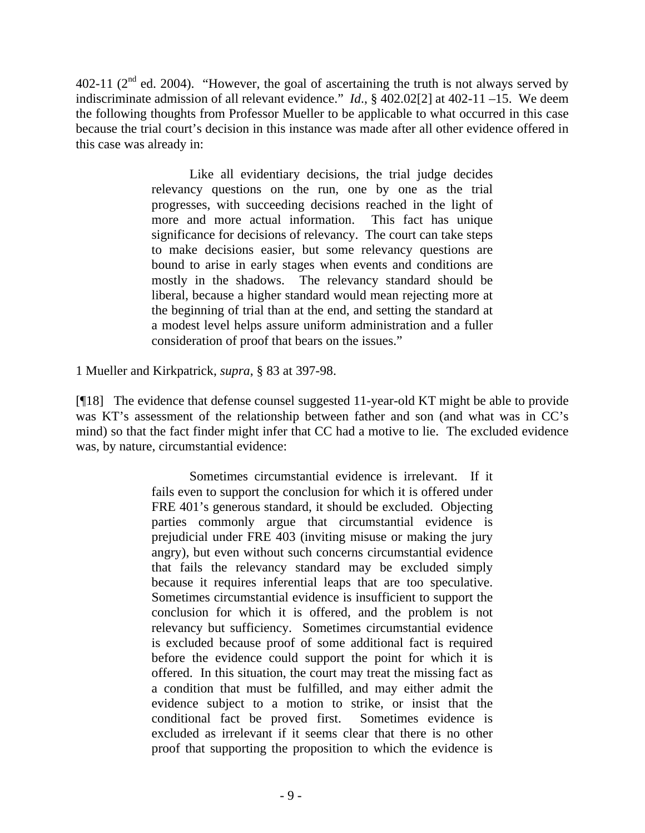402-11 ( $2<sup>nd</sup>$  ed. 2004). "However, the goal of ascertaining the truth is not always served by indiscriminate admission of all relevant evidence." *Id*., § 402.02[2] at 402-11 –15. We deem the following thoughts from Professor Mueller to be applicable to what occurred in this case because the trial court's decision in this instance was made after all other evidence offered in this case was already in:

> Like all evidentiary decisions, the trial judge decides relevancy questions on the run, one by one as the trial progresses, with succeeding decisions reached in the light of more and more actual information. This fact has unique significance for decisions of relevancy. The court can take steps to make decisions easier, but some relevancy questions are bound to arise in early stages when events and conditions are mostly in the shadows. The relevancy standard should be liberal, because a higher standard would mean rejecting more at the beginning of trial than at the end, and setting the standard at a modest level helps assure uniform administration and a fuller consideration of proof that bears on the issues."

1 Mueller and Kirkpatrick, *supra*, § 83 at 397-98.

[¶18] The evidence that defense counsel suggested 11-year-old KT might be able to provide was KT's assessment of the relationship between father and son (and what was in CC's mind) so that the fact finder might infer that CC had a motive to lie. The excluded evidence was, by nature, circumstantial evidence:

> Sometimes circumstantial evidence is irrelevant. If it fails even to support the conclusion for which it is offered under FRE 401's generous standard, it should be excluded. Objecting parties commonly argue that circumstantial evidence is prejudicial under FRE 403 (inviting misuse or making the jury angry), but even without such concerns circumstantial evidence that fails the relevancy standard may be excluded simply because it requires inferential leaps that are too speculative. Sometimes circumstantial evidence is insufficient to support the conclusion for which it is offered, and the problem is not relevancy but sufficiency. Sometimes circumstantial evidence is excluded because proof of some additional fact is required before the evidence could support the point for which it is offered. In this situation, the court may treat the missing fact as a condition that must be fulfilled, and may either admit the evidence subject to a motion to strike, or insist that the conditional fact be proved first. Sometimes evidence is excluded as irrelevant if it seems clear that there is no other proof that supporting the proposition to which the evidence is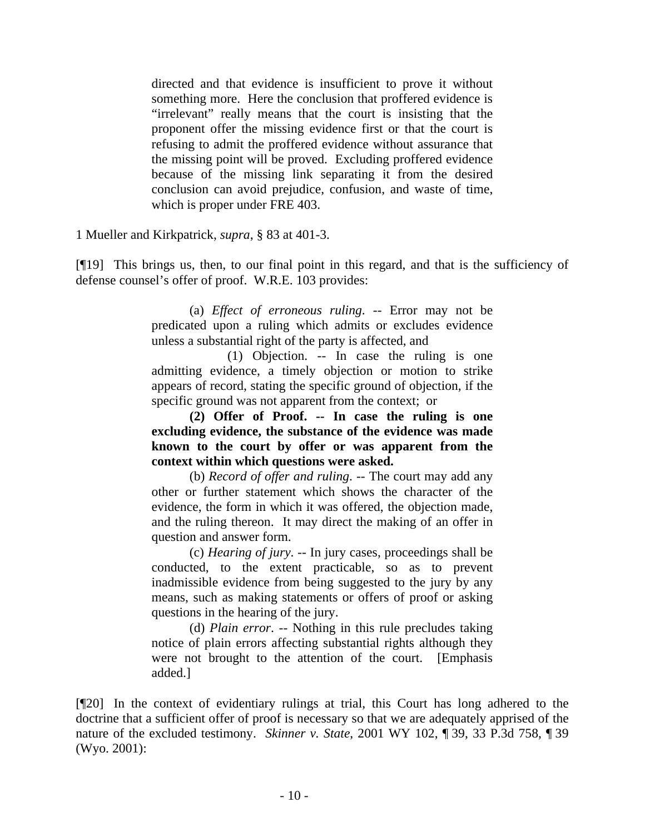directed and that evidence is insufficient to prove it without something more. Here the conclusion that proffered evidence is "irrelevant" really means that the court is insisting that the proponent offer the missing evidence first or that the court is refusing to admit the proffered evidence without assurance that the missing point will be proved. Excluding proffered evidence because of the missing link separating it from the desired conclusion can avoid prejudice, confusion, and waste of time, which is proper under FRE 403.

1 Mueller and Kirkpatrick, *supra*, § 83 at 401-3.

[¶19] This brings us, then, to our final point in this regard, and that is the sufficiency of defense counsel's offer of proof. W.R.E. 103 provides:

> (a) *Effect of erroneous ruling*. -- Error may not be predicated upon a ruling which admits or excludes evidence unless a substantial right of the party is affected, and

> (1) Objection. -- In case the ruling is one admitting evidence, a timely objection or motion to strike appears of record, stating the specific ground of objection, if the specific ground was not apparent from the context; or

> **(2) Offer of Proof. -- In case the ruling is one excluding evidence, the substance of the evidence was made known to the court by offer or was apparent from the context within which questions were asked.**

> (b) *Record of offer and ruling*. -- The court may add any other or further statement which shows the character of the evidence, the form in which it was offered, the objection made, and the ruling thereon. It may direct the making of an offer in question and answer form.

> (c) *Hearing of jury*. -- In jury cases, proceedings shall be conducted, to the extent practicable, so as to prevent inadmissible evidence from being suggested to the jury by any means, such as making statements or offers of proof or asking questions in the hearing of the jury.

> (d) *Plain error*. -- Nothing in this rule precludes taking notice of plain errors affecting substantial rights although they were not brought to the attention of the court. [Emphasis added.]

[¶20] In the context of evidentiary rulings at trial, this Court has long adhered to the doctrine that a sufficient offer of proof is necessary so that we are adequately apprised of the nature of the excluded testimony. *Skinner v. State*, 2001 WY 102, ¶ 39, 33 P.3d 758, ¶ 39 (Wyo. 2001):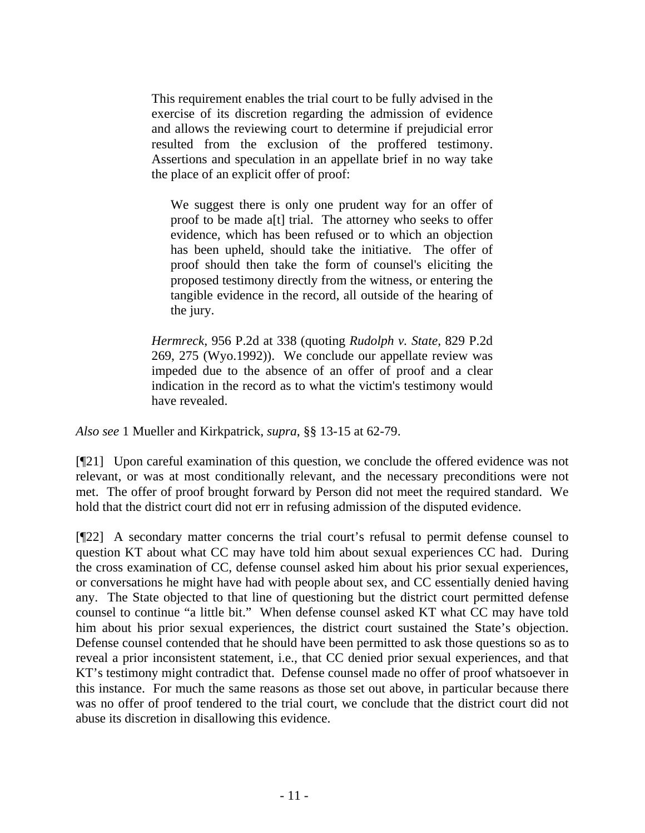This requirement enables the trial court to be fully advised in the exercise of its discretion regarding the admission of evidence and allows the reviewing court to determine if prejudicial error resulted from the exclusion of the proffered testimony. Assertions and speculation in an appellate brief in no way take the place of an explicit offer of proof:

We suggest there is only one prudent way for an offer of proof to be made a[t] trial. The attorney who seeks to offer evidence, which has been refused or to which an objection has been upheld, should take the initiative. The offer of proof should then take the form of counsel's eliciting the proposed testimony directly from the witness, or entering the tangible evidence in the record, all outside of the hearing of the jury.

*Hermreck*, 956 P.2d at 338 (quoting *Rudolph v. State*, 829 P.2d 269, 275 (Wyo.1992)). We conclude our appellate review was impeded due to the absence of an offer of proof and a clear indication in the record as to what the victim's testimony would have revealed.

*Also see* 1 Mueller and Kirkpatrick, *supra*, §§ 13-15 at 62-79.

[¶21] Upon careful examination of this question, we conclude the offered evidence was not relevant, or was at most conditionally relevant, and the necessary preconditions were not met. The offer of proof brought forward by Person did not meet the required standard. We hold that the district court did not err in refusing admission of the disputed evidence.

[¶22] A secondary matter concerns the trial court's refusal to permit defense counsel to question KT about what CC may have told him about sexual experiences CC had. During the cross examination of CC, defense counsel asked him about his prior sexual experiences, or conversations he might have had with people about sex, and CC essentially denied having any. The State objected to that line of questioning but the district court permitted defense counsel to continue "a little bit." When defense counsel asked KT what CC may have told him about his prior sexual experiences, the district court sustained the State's objection. Defense counsel contended that he should have been permitted to ask those questions so as to reveal a prior inconsistent statement, i.e., that CC denied prior sexual experiences, and that KT's testimony might contradict that. Defense counsel made no offer of proof whatsoever in this instance. For much the same reasons as those set out above, in particular because there was no offer of proof tendered to the trial court, we conclude that the district court did not abuse its discretion in disallowing this evidence.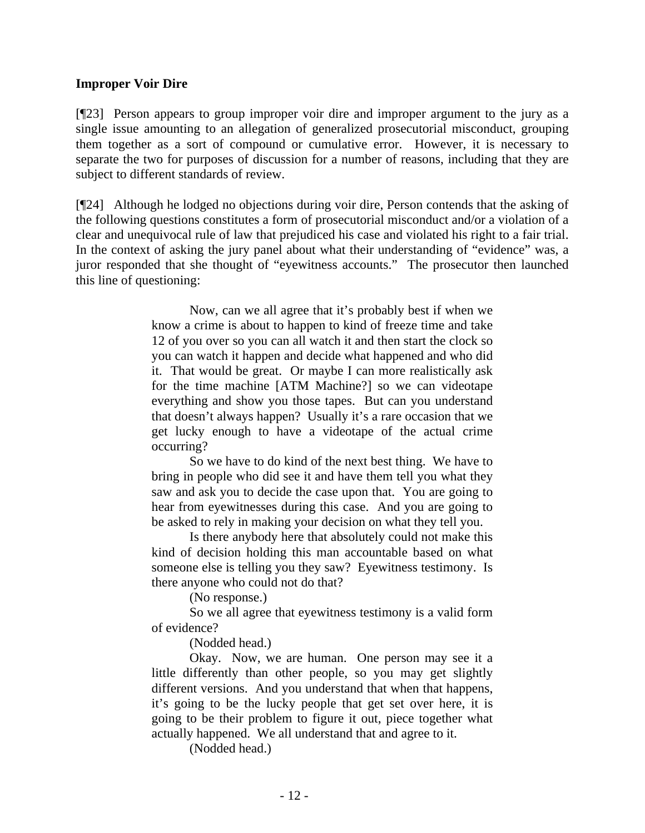## **Improper Voir Dire**

[¶23] Person appears to group improper voir dire and improper argument to the jury as a single issue amounting to an allegation of generalized prosecutorial misconduct, grouping them together as a sort of compound or cumulative error. However, it is necessary to separate the two for purposes of discussion for a number of reasons, including that they are subject to different standards of review.

[¶24] Although he lodged no objections during voir dire, Person contends that the asking of the following questions constitutes a form of prosecutorial misconduct and/or a violation of a clear and unequivocal rule of law that prejudiced his case and violated his right to a fair trial. In the context of asking the jury panel about what their understanding of "evidence" was, a juror responded that she thought of "eyewitness accounts." The prosecutor then launched this line of questioning:

> Now, can we all agree that it's probably best if when we know a crime is about to happen to kind of freeze time and take 12 of you over so you can all watch it and then start the clock so you can watch it happen and decide what happened and who did it. That would be great. Or maybe I can more realistically ask for the time machine [ATM Machine?] so we can videotape everything and show you those tapes. But can you understand that doesn't always happen? Usually it's a rare occasion that we get lucky enough to have a videotape of the actual crime occurring?

> So we have to do kind of the next best thing. We have to bring in people who did see it and have them tell you what they saw and ask you to decide the case upon that. You are going to hear from eyewitnesses during this case. And you are going to be asked to rely in making your decision on what they tell you.

> Is there anybody here that absolutely could not make this kind of decision holding this man accountable based on what someone else is telling you they saw? Eyewitness testimony. Is there anyone who could not do that?

> > (No response.)

So we all agree that eyewitness testimony is a valid form of evidence?

(Nodded head.)

Okay. Now, we are human. One person may see it a little differently than other people, so you may get slightly different versions. And you understand that when that happens, it's going to be the lucky people that get set over here, it is going to be their problem to figure it out, piece together what actually happened. We all understand that and agree to it.

(Nodded head.)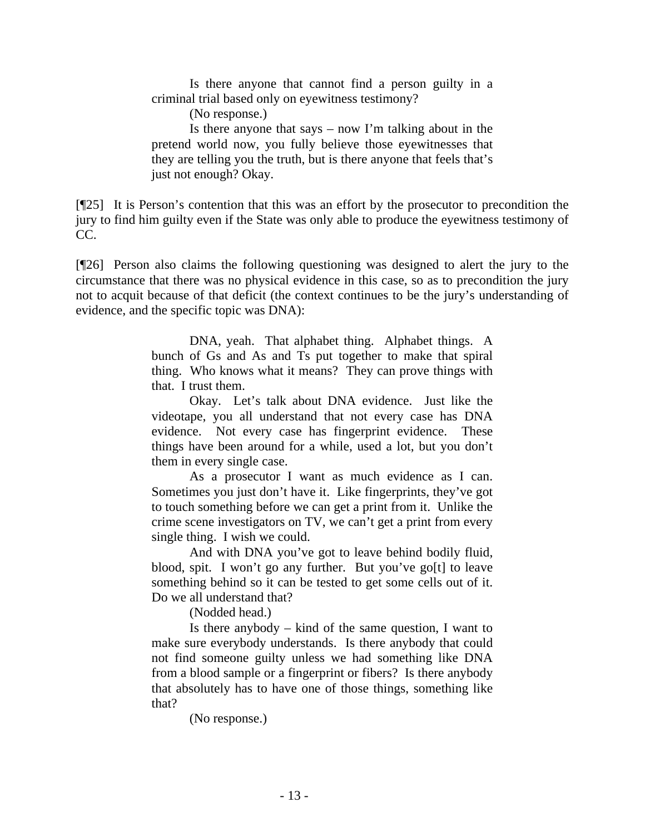Is there anyone that cannot find a person guilty in a criminal trial based only on eyewitness testimony?

(No response.)

Is there anyone that says – now I'm talking about in the pretend world now, you fully believe those eyewitnesses that they are telling you the truth, but is there anyone that feels that's just not enough? Okay.

[¶25] It is Person's contention that this was an effort by the prosecutor to precondition the jury to find him guilty even if the State was only able to produce the eyewitness testimony of CC.

[¶26] Person also claims the following questioning was designed to alert the jury to the circumstance that there was no physical evidence in this case, so as to precondition the jury not to acquit because of that deficit (the context continues to be the jury's understanding of evidence, and the specific topic was DNA):

> DNA, yeah. That alphabet thing. Alphabet things. A bunch of Gs and As and Ts put together to make that spiral thing. Who knows what it means? They can prove things with that. I trust them.

> Okay. Let's talk about DNA evidence. Just like the videotape, you all understand that not every case has DNA evidence. Not every case has fingerprint evidence. These things have been around for a while, used a lot, but you don't them in every single case.

> As a prosecutor I want as much evidence as I can. Sometimes you just don't have it. Like fingerprints, they've got to touch something before we can get a print from it. Unlike the crime scene investigators on TV, we can't get a print from every single thing. I wish we could.

> And with DNA you've got to leave behind bodily fluid, blood, spit. I won't go any further. But you've go[t] to leave something behind so it can be tested to get some cells out of it. Do we all understand that?

> > (Nodded head.)

Is there anybody – kind of the same question, I want to make sure everybody understands. Is there anybody that could not find someone guilty unless we had something like DNA from a blood sample or a fingerprint or fibers? Is there anybody that absolutely has to have one of those things, something like that?

(No response.)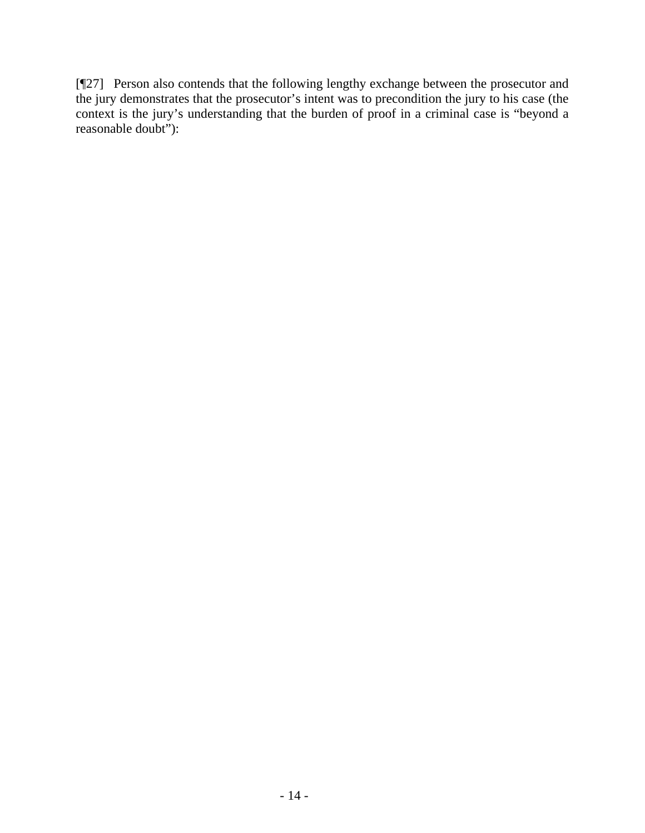[¶27] Person also contends that the following lengthy exchange between the prosecutor and the jury demonstrates that the prosecutor's intent was to precondition the jury to his case (the context is the jury's understanding that the burden of proof in a criminal case is "beyond a reasonable doubt"):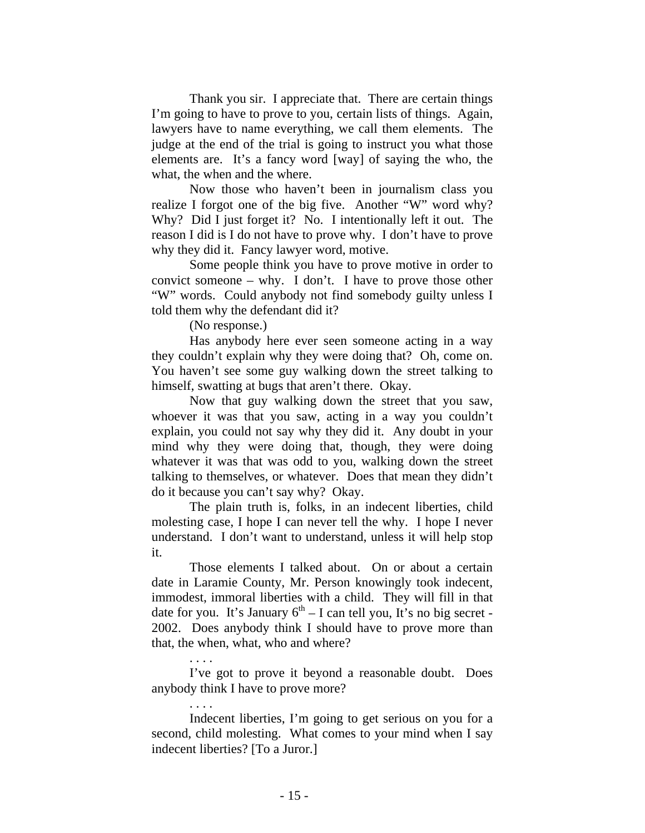Thank you sir. I appreciate that. There are certain things I'm going to have to prove to you, certain lists of things. Again, lawyers have to name everything, we call them elements. The judge at the end of the trial is going to instruct you what those elements are. It's a fancy word [way] of saying the who, the what, the when and the where.

Now those who haven't been in journalism class you realize I forgot one of the big five. Another "W" word why? Why? Did I just forget it? No. I intentionally left it out. The reason I did is I do not have to prove why. I don't have to prove why they did it. Fancy lawyer word, motive.

Some people think you have to prove motive in order to convict someone – why. I don't. I have to prove those other "W" words. Could anybody not find somebody guilty unless I told them why the defendant did it?

(No response.)

Has anybody here ever seen someone acting in a way they couldn't explain why they were doing that? Oh, come on. You haven't see some guy walking down the street talking to himself, swatting at bugs that aren't there. Okay.

Now that guy walking down the street that you saw, whoever it was that you saw, acting in a way you couldn't explain, you could not say why they did it. Any doubt in your mind why they were doing that, though, they were doing whatever it was that was odd to you, walking down the street talking to themselves, or whatever. Does that mean they didn't do it because you can't say why? Okay.

The plain truth is, folks, in an indecent liberties, child molesting case, I hope I can never tell the why. I hope I never understand. I don't want to understand, unless it will help stop it.

Those elements I talked about. On or about a certain date in Laramie County, Mr. Person knowingly took indecent, immodest, immoral liberties with a child. They will fill in that date for you. It's January  $6<sup>th</sup> - I$  can tell you, It's no big secret -2002. Does anybody think I should have to prove more than that, the when, what, who and where?

. . . .

I've got to prove it beyond a reasonable doubt. Does anybody think I have to prove more?

. . . .

Indecent liberties, I'm going to get serious on you for a second, child molesting. What comes to your mind when I say indecent liberties? [To a Juror.]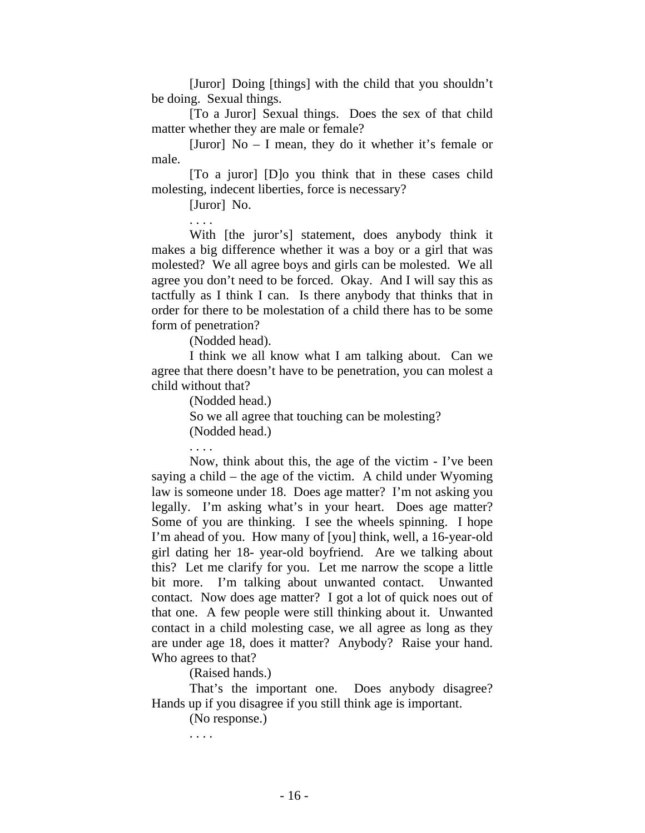[Juror] Doing [things] with the child that you shouldn't be doing. Sexual things.

[To a Juror] Sexual things. Does the sex of that child matter whether they are male or female?

[Juror] No – I mean, they do it whether it's female or male.

[To a juror] [D]o you think that in these cases child molesting, indecent liberties, force is necessary?

[Juror] No.

. . . . With [the juror's] statement, does anybody think it makes a big difference whether it was a boy or a girl that was molested? We all agree boys and girls can be molested. We all agree you don't need to be forced. Okay. And I will say this as tactfully as I think I can. Is there anybody that thinks that in order for there to be molestation of a child there has to be some form of penetration?

(Nodded head).

I think we all know what I am talking about. Can we agree that there doesn't have to be penetration, you can molest a child without that?

(Nodded head.)

So we all agree that touching can be molesting?

(Nodded head.)

. . . .

Now, think about this, the age of the victim - I've been saying a child – the age of the victim. A child under Wyoming law is someone under 18. Does age matter? I'm not asking you legally. I'm asking what's in your heart. Does age matter? Some of you are thinking. I see the wheels spinning. I hope I'm ahead of you. How many of [you] think, well, a 16-year-old girl dating her 18- year-old boyfriend. Are we talking about this? Let me clarify for you. Let me narrow the scope a little bit more. I'm talking about unwanted contact. Unwanted contact. Now does age matter? I got a lot of quick noes out of that one. A few people were still thinking about it. Unwanted contact in a child molesting case, we all agree as long as they are under age 18, does it matter? Anybody? Raise your hand. Who agrees to that?

(Raised hands.)

That's the important one. Does anybody disagree? Hands up if you disagree if you still think age is important.

(No response.)

. . . .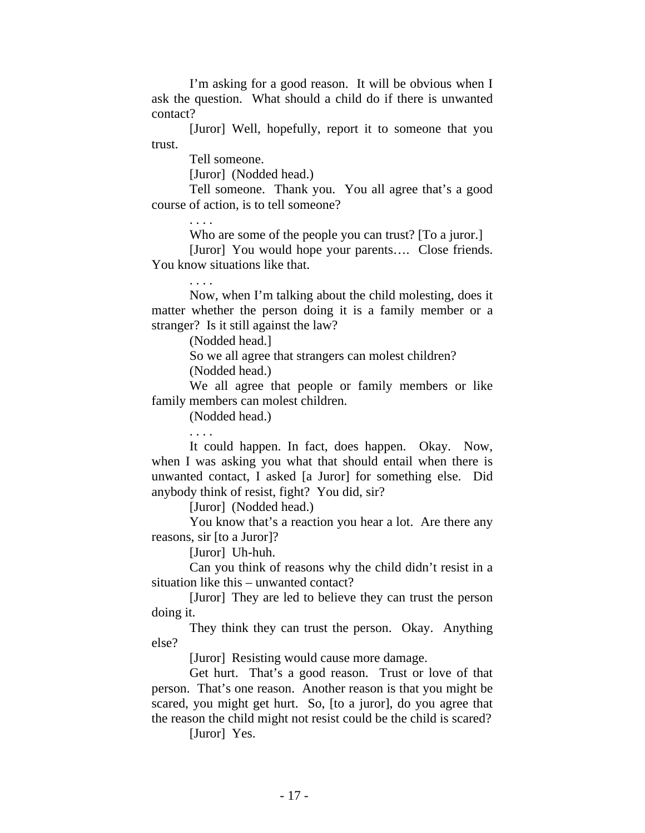I'm asking for a good reason. It will be obvious when I ask the question. What should a child do if there is unwanted contact?

[Juror] Well, hopefully, report it to someone that you trust.

Tell someone.

[Juror] (Nodded head.)

Tell someone. Thank you. You all agree that's a good course of action, is to tell someone?

Who are some of the people you can trust? [To a juror.]

[Juror] You would hope your parents…. Close friends. You know situations like that.

. . . .

Now, when I'm talking about the child molesting, does it matter whether the person doing it is a family member or a stranger? Is it still against the law?

(Nodded head.]

So we all agree that strangers can molest children?

(Nodded head.)

We all agree that people or family members or like family members can molest children.

(Nodded head.)

. . . .

It could happen. In fact, does happen. Okay. Now, when I was asking you what that should entail when there is unwanted contact, I asked [a Juror] for something else. Did anybody think of resist, fight? You did, sir?

[Juror] (Nodded head.)

You know that's a reaction you hear a lot. Are there any reasons, sir [to a Juror]?

[Juror] Uh-huh.

Can you think of reasons why the child didn't resist in a situation like this – unwanted contact?

[Juror] They are led to believe they can trust the person doing it.

They think they can trust the person. Okay. Anything else?

[Juror] Resisting would cause more damage.

Get hurt. That's a good reason. Trust or love of that person. That's one reason. Another reason is that you might be scared, you might get hurt. So, [to a juror], do you agree that the reason the child might not resist could be the child is scared?

[Juror] Yes.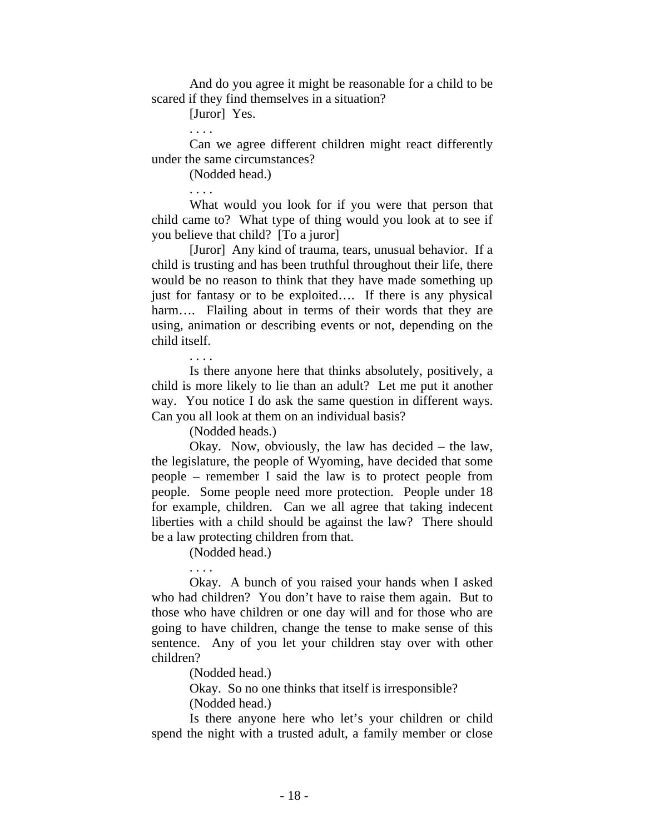And do you agree it might be reasonable for a child to be scared if they find themselves in a situation?

[Juror] Yes.

. . . .

Can we agree different children might react differently under the same circumstances?

(Nodded head.)

. . . .

What would you look for if you were that person that child came to? What type of thing would you look at to see if you believe that child? [To a juror]

[Juror] Any kind of trauma, tears, unusual behavior. If a child is trusting and has been truthful throughout their life, there would be no reason to think that they have made something up just for fantasy or to be exploited…. If there is any physical harm.... Flailing about in terms of their words that they are using, animation or describing events or not, depending on the child itself.

Is there anyone here that thinks absolutely, positively, a child is more likely to lie than an adult? Let me put it another way. You notice I do ask the same question in different ways. Can you all look at them on an individual basis?

(Nodded heads.)

Okay. Now, obviously, the law has decided – the law, the legislature, the people of Wyoming, have decided that some people – remember I said the law is to protect people from people. Some people need more protection. People under 18 for example, children. Can we all agree that taking indecent liberties with a child should be against the law? There should be a law protecting children from that.

(Nodded head.)

. . . .

Okay. A bunch of you raised your hands when I asked who had children? You don't have to raise them again. But to those who have children or one day will and for those who are going to have children, change the tense to make sense of this sentence. Any of you let your children stay over with other children?

(Nodded head.)

Okay. So no one thinks that itself is irresponsible? (Nodded head.)

Is there anyone here who let's your children or child spend the night with a trusted adult, a family member or close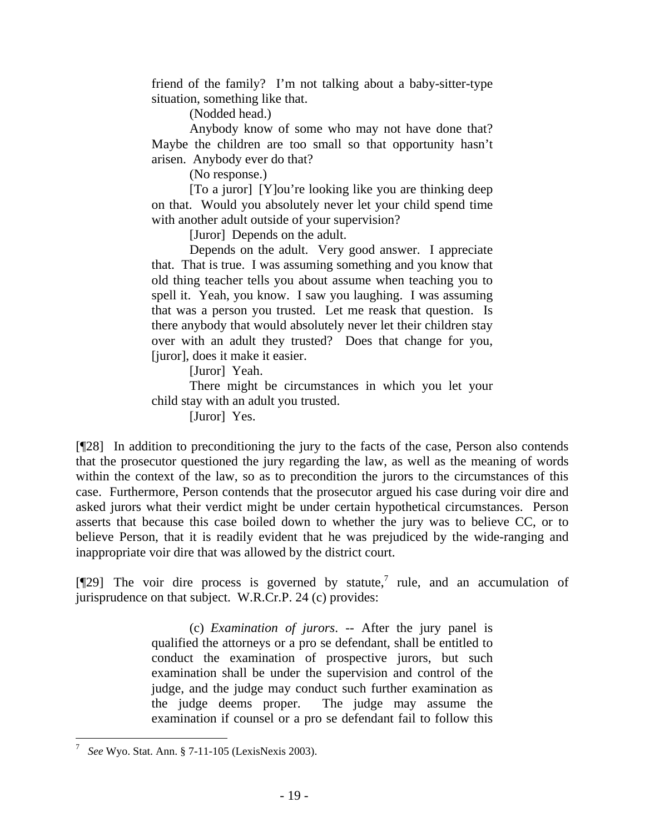friend of the family? I'm not talking about a baby-sitter-type situation, something like that.

(Nodded head.)

Anybody know of some who may not have done that? Maybe the children are too small so that opportunity hasn't arisen. Anybody ever do that?

(No response.)

[To a juror] [Y]ou're looking like you are thinking deep on that. Would you absolutely never let your child spend time with another adult outside of your supervision?

[Juror] Depends on the adult.

Depends on the adult. Very good answer. I appreciate that. That is true. I was assuming something and you know that old thing teacher tells you about assume when teaching you to spell it. Yeah, you know. I saw you laughing. I was assuming that was a person you trusted. Let me reask that question. Is there anybody that would absolutely never let their children stay over with an adult they trusted? Does that change for you, [juror], does it make it easier.

[Juror] Yeah.

There might be circumstances in which you let your child stay with an adult you trusted.

[Juror] Yes.

[¶28] In addition to preconditioning the jury to the facts of the case, Person also contends that the prosecutor questioned the jury regarding the law, as well as the meaning of words within the context of the law, so as to precondition the jurors to the circumstances of this case. Furthermore, Person contends that the prosecutor argued his case during voir dire and asked jurors what their verdict might be under certain hypothetical circumstances. Person asserts that because this case boiled down to whether the jury was to believe CC, or to believe Person, that it is readily evident that he was prejudiced by the wide-ranging and inappropriate voir dire that was allowed by the district court.

[ $[$ [29] The voir dire process is governed by statute,<sup>7</sup> rule, and an accumulation of jurisprudence on that subject. W.R.Cr.P. 24 (c) provides:

> (c) *Examination of jurors*. -- After the jury panel is qualified the attorneys or a pro se defendant, shall be entitled to conduct the examination of prospective jurors, but such examination shall be under the supervision and control of the judge, and the judge may conduct such further examination as the judge deems proper. The judge may assume the examination if counsel or a pro se defendant fail to follow this

<sup>7</sup> *See* Wyo. Stat. Ann. § 7-11-105 (LexisNexis 2003).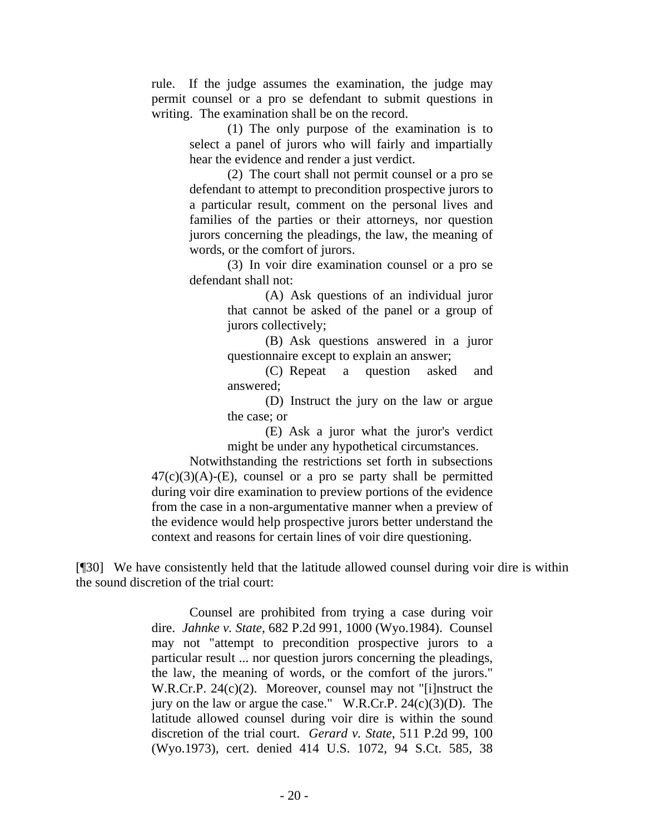rule. If the judge assumes the examination, the judge may permit counsel or a pro se defendant to submit questions in writing. The examination shall be on the record.

> (1) The only purpose of the examination is to select a panel of jurors who will fairly and impartially hear the evidence and render a just verdict.

> (2) The court shall not permit counsel or a pro se defendant to attempt to precondition prospective jurors to a particular result, comment on the personal lives and families of the parties or their attorneys, nor question jurors concerning the pleadings, the law, the meaning of words, or the comfort of jurors.

> (3) In voir dire examination counsel or a pro se defendant shall not:

> > (A) Ask questions of an individual juror that cannot be asked of the panel or a group of jurors collectively;

> > (B) Ask questions answered in a juror questionnaire except to explain an answer;

> > (C) Repeat a question asked and answered;

> > (D) Instruct the jury on the law or argue the case; or

> > (E) Ask a juror what the juror's verdict might be under any hypothetical circumstances.

Notwithstanding the restrictions set forth in subsections  $47(c)(3)(A)-(E)$ , counsel or a pro se party shall be permitted during voir dire examination to preview portions of the evidence from the case in a non-argumentative manner when a preview of the evidence would help prospective jurors better understand the context and reasons for certain lines of voir dire questioning.

[¶30] We have consistently held that the latitude allowed counsel during voir dire is within the sound discretion of the trial court:

> Counsel are prohibited from trying a case during voir dire. *Jahnke v. State*, 682 P.2d 991, 1000 (Wyo.1984). Counsel may not "attempt to precondition prospective jurors to a particular result ... nor question jurors concerning the pleadings, the law, the meaning of words, or the comfort of the jurors." W.R.Cr.P. 24(c)(2). Moreover, counsel may not "[i]nstruct the jury on the law or argue the case." W.R.Cr.P.  $24(c)(3)(D)$ . The latitude allowed counsel during voir dire is within the sound discretion of the trial court. *Gerard v. State*, 511 P.2d 99, 100 (Wyo.1973), cert. denied 414 U.S. 1072, 94 S.Ct. 585, 38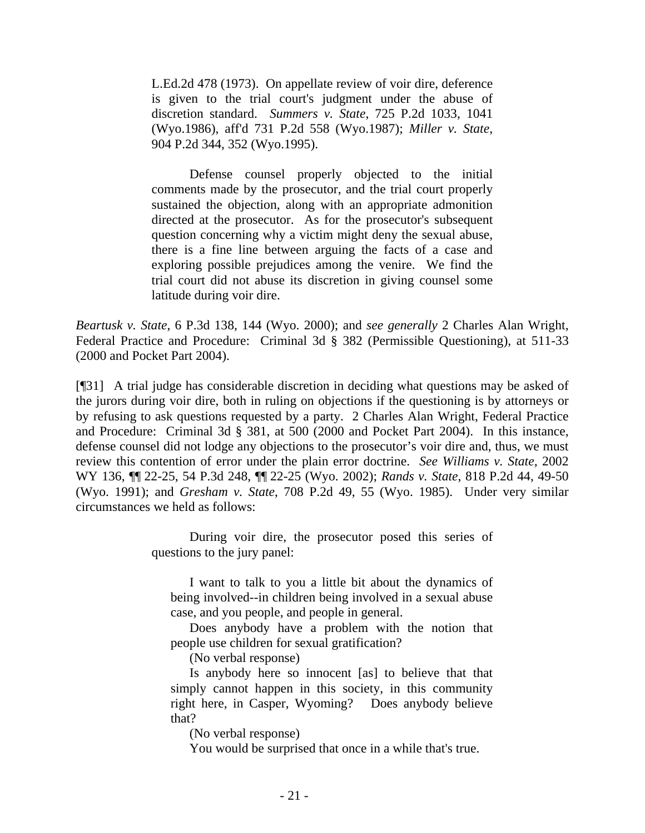L.Ed.2d 478 (1973). On appellate review of voir dire, deference is given to the trial court's judgment under the abuse of discretion standard. *Summers v. State*, 725 P.2d 1033, 1041 (Wyo.1986), aff'd 731 P.2d 558 (Wyo.1987); *Miller v. State*, 904 P.2d 344, 352 (Wyo.1995).

Defense counsel properly objected to the initial comments made by the prosecutor, and the trial court properly sustained the objection, along with an appropriate admonition directed at the prosecutor. As for the prosecutor's subsequent question concerning why a victim might deny the sexual abuse, there is a fine line between arguing the facts of a case and exploring possible prejudices among the venire. We find the trial court did not abuse its discretion in giving counsel some latitude during voir dire.

*Beartusk v. State*, 6 P.3d 138, 144 (Wyo. 2000); and *see generally* 2 Charles Alan Wright, Federal Practice and Procedure: Criminal 3d § 382 (Permissible Questioning), at 511-33 (2000 and Pocket Part 2004).

[¶31] A trial judge has considerable discretion in deciding what questions may be asked of the jurors during voir dire, both in ruling on objections if the questioning is by attorneys or by refusing to ask questions requested by a party. 2 Charles Alan Wright, Federal Practice and Procedure: Criminal 3d § 381, at 500 (2000 and Pocket Part 2004). In this instance, defense counsel did not lodge any objections to the prosecutor's voir dire and, thus, we must review this contention of error under the plain error doctrine. *See Williams v. State,* 2002 WY 136, ¶¶ 22-25, 54 P.3d 248, ¶¶ 22-25 (Wyo. 2002); *Rands v. State*, 818 P.2d 44, 49-50 (Wyo. 1991); and *Gresham v. State*, 708 P.2d 49, 55 (Wyo. 1985). Under very similar circumstances we held as follows:

> During voir dire, the prosecutor posed this series of questions to the jury panel:

I want to talk to you a little bit about the dynamics of being involved--in children being involved in a sexual abuse case, and you people, and people in general.

Does anybody have a problem with the notion that people use children for sexual gratification?

(No verbal response)

Is anybody here so innocent [as] to believe that that simply cannot happen in this society, in this community right here, in Casper, Wyoming? Does anybody believe that?

(No verbal response)

You would be surprised that once in a while that's true.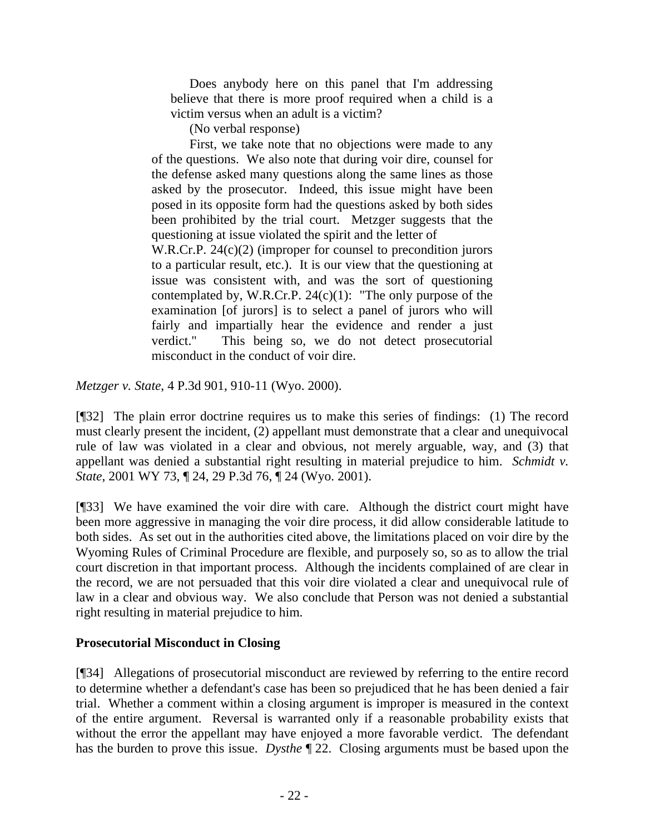Does anybody here on this panel that I'm addressing believe that there is more proof required when a child is a victim versus when an adult is a victim?

(No verbal response)

First, we take note that no objections were made to any of the questions. We also note that during voir dire, counsel for the defense asked many questions along the same lines as those asked by the prosecutor. Indeed, this issue might have been posed in its opposite form had the questions asked by both sides been prohibited by the trial court. Metzger suggests that the questioning at issue violated the spirit and the letter of W.R.Cr.P. 24(c)(2) (improper for counsel to precondition jurors to a particular result, etc.). It is our view that the questioning at issue was consistent with, and was the sort of questioning contemplated by, W.R.Cr.P.  $24(c)(1)$ : "The only purpose of the examination [of jurors] is to select a panel of jurors who will fairly and impartially hear the evidence and render a just verdict." This being so, we do not detect prosecutorial misconduct in the conduct of voir dire.

*Metzger v. State*, 4 P.3d 901, 910-11 (Wyo. 2000).

[¶32] The plain error doctrine requires us to make this series of findings: (1) The record must clearly present the incident, (2) appellant must demonstrate that a clear and unequivocal rule of law was violated in a clear and obvious, not merely arguable, way, and (3) that appellant was denied a substantial right resulting in material prejudice to him. *Schmidt v. State*, 2001 WY 73, ¶ 24, 29 P.3d 76, ¶ 24 (Wyo. 2001).

[¶33] We have examined the voir dire with care. Although the district court might have been more aggressive in managing the voir dire process, it did allow considerable latitude to both sides. As set out in the authorities cited above, the limitations placed on voir dire by the Wyoming Rules of Criminal Procedure are flexible, and purposely so, so as to allow the trial court discretion in that important process. Although the incidents complained of are clear in the record, we are not persuaded that this voir dire violated a clear and unequivocal rule of law in a clear and obvious way. We also conclude that Person was not denied a substantial right resulting in material prejudice to him.

# **Prosecutorial Misconduct in Closing**

[¶34] Allegations of prosecutorial misconduct are reviewed by referring to the entire record to determine whether a defendant's case has been so prejudiced that he has been denied a fair trial. Whether a comment within a closing argument is improper is measured in the context of the entire argument. Reversal is warranted only if a reasonable probability exists that without the error the appellant may have enjoyed a more favorable verdict. The defendant has the burden to prove this issue. *Dysthe* ¶ 22. Closing arguments must be based upon the